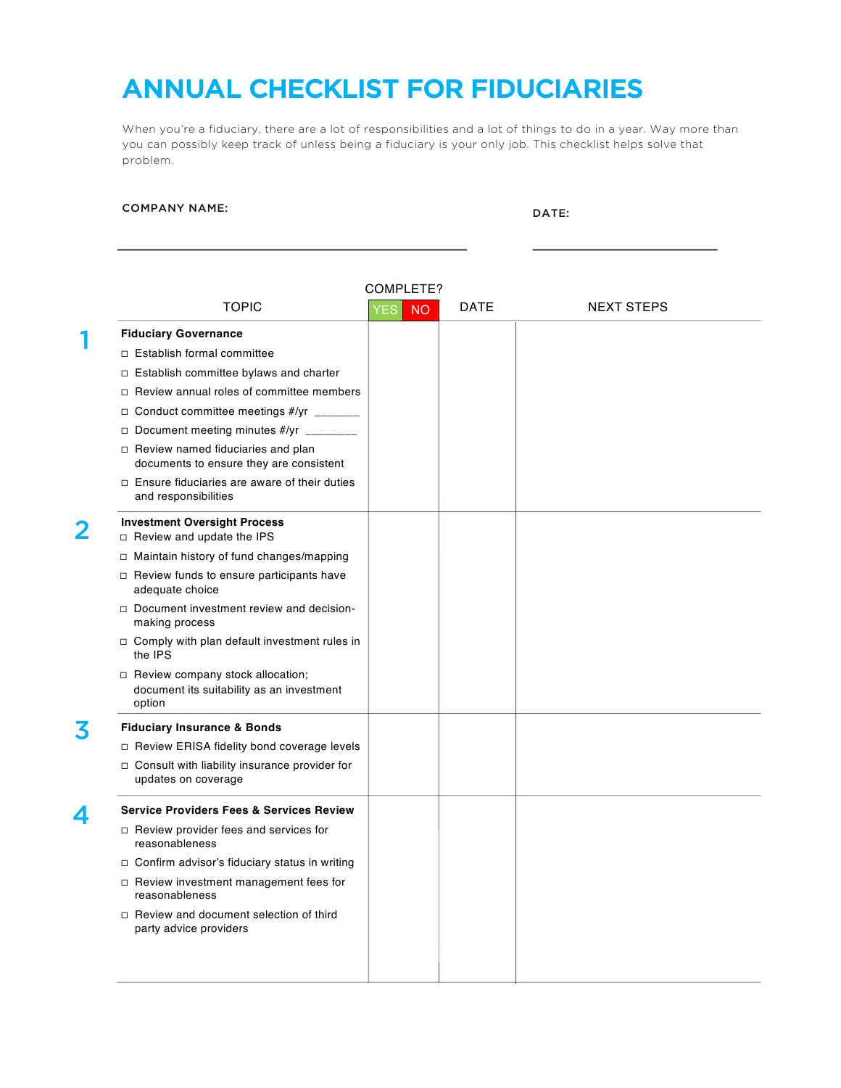## ANNUAL CHECKLIST FOR FIDUCIARIES

When you're a fiduciary, there are a lot of responsibilities and a lot of things to do in a year. Way more than you can possibly keep track of unless being a fiduciary is your only job. This checklist helps solve that problem.

## COMPANY NAME: DATE:

| COMPLETE?        |                                                                                           |                  |             |                   |  |  |
|------------------|-------------------------------------------------------------------------------------------|------------------|-------------|-------------------|--|--|
|                  | <b>TOPIC</b>                                                                              | <b>NO</b><br>YES | <b>DATE</b> | <b>NEXT STEPS</b> |  |  |
|                  | <b>Fiduciary Governance</b>                                                               |                  |             |                   |  |  |
|                  | □ Establish formal committee                                                              |                  |             |                   |  |  |
|                  | □ Establish committee bylaws and charter                                                  |                  |             |                   |  |  |
|                  | □ Review annual roles of committee members                                                |                  |             |                   |  |  |
|                  | □ Conduct committee meetings #/yr _______                                                 |                  |             |                   |  |  |
|                  | Document meeting minutes #/yr ________                                                    |                  |             |                   |  |  |
|                  | $\Box$ Review named fiduciaries and plan<br>documents to ensure they are consistent       |                  |             |                   |  |  |
|                  | $\Box$ Ensure fiduciaries are aware of their duties<br>and responsibilities               |                  |             |                   |  |  |
|                  | <b>Investment Oversight Process</b><br>$\Box$ Review and update the IPS                   |                  |             |                   |  |  |
|                  | $\Box$ Maintain history of fund changes/mapping                                           |                  |             |                   |  |  |
|                  | □ Review funds to ensure participants have<br>adequate choice                             |                  |             |                   |  |  |
|                  | $\Box$ Document investment review and decision-<br>making process                         |                  |             |                   |  |  |
|                  | □ Comply with plan default investment rules in<br>the IPS                                 |                  |             |                   |  |  |
|                  | □ Review company stock allocation;<br>document its suitability as an investment<br>option |                  |             |                   |  |  |
|                  | <b>Fiduciary Insurance &amp; Bonds</b>                                                    |                  |             |                   |  |  |
|                  | □ Review ERISA fidelity bond coverage levels                                              |                  |             |                   |  |  |
|                  | □ Consult with liability insurance provider for<br>updates on coverage                    |                  |             |                   |  |  |
| $\blacktriangle$ | <b>Service Providers Fees &amp; Services Review</b>                                       |                  |             |                   |  |  |
|                  | $\Box$ Review provider fees and services for<br>reasonableness                            |                  |             |                   |  |  |
|                  | □ Confirm advisor's fiduciary status in writing                                           |                  |             |                   |  |  |
|                  | □ Review investment management fees for<br>reasonableness                                 |                  |             |                   |  |  |
|                  | □ Review and document selection of third<br>party advice providers                        |                  |             |                   |  |  |
|                  |                                                                                           |                  |             |                   |  |  |